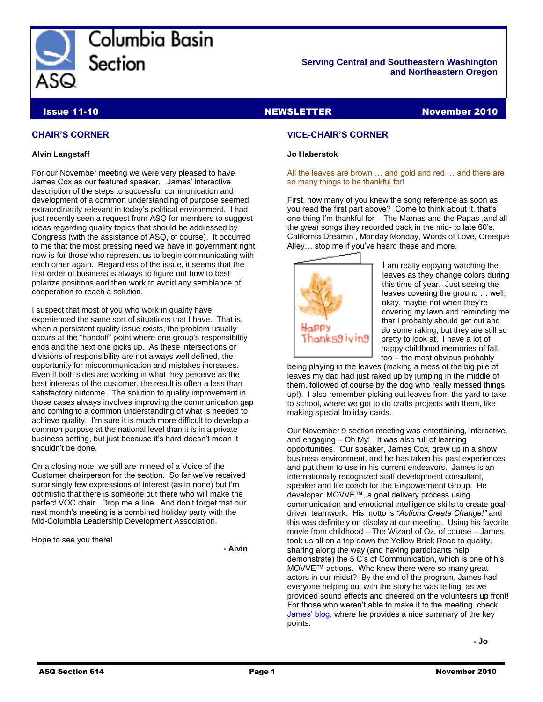

Columbia Basin Section

#### **Serving Central and Southeastern Washington and Northeastern Oregon**

**Issue 11-10** NewsLETTER NewsLETTER November 2010

#### **CHAIR'S CORNER**

#### **Alvin Langstaff**

For our November meeting we were very pleased to have James Cox as our featured speaker. James' interactive description of the steps to successful communication and development of a common understanding of purpose seemed extraordinarily relevant in today's political environment. I had just recently seen a request from ASQ for members to suggest ideas regarding quality topics that should be addressed by Congress (with the assistance of ASQ, of course). It occurred to me that the most pressing need we have in government right now is for those who represent us to begin communicating with each other again. Regardless of the issue, it seems that the first order of business is always to figure out how to best polarize positions and then work to avoid any semblance of cooperation to reach a solution.

I suspect that most of you who work in quality have experienced the same sort of situations that I have. That is, when a persistent quality issue exists, the problem usually occurs at the "handoff" point where one group's responsibility ends and the next one picks up. As these intersections or divisions of responsibility are not always well defined, the opportunity for miscommunication and mistakes increases. Even if both sides are working in what they perceive as the best interests of the customer, the result is often a less than satisfactory outcome. The solution to quality improvement in those cases always involves improving the communication gap and coming to a common understanding of what is needed to achieve quality. I'm sure it is much more difficult to develop a common purpose at the national level than it is in a private business setting, but just because it's hard doesn't mean it shouldn't be done.

On a closing note, we still are in need of a Voice of the Customer chairperson for the section. So far we've received surprisingly few expressions of interest (as in none) but I'm optimistic that there is someone out there who will make the perfect VOC chair. Drop me a line. And don't forget that our next month's meeting is a combined holiday party with the Mid-Columbia Leadership Development Association.

Hope to see you there!

**- Alvin**

#### **VICE-CHAIR'S CORNER**

#### **Jo Haberstok**

All the leaves are brown … and gold and red … and there are so many things to be thankful for!

First, how many of you knew the song reference as soon as you read the first part above? Come to think about it, that's one thing I'm thankful for – The Mamas and the Papas ,and all the *great* songs they recorded back in the mid- to late 60's. California Dreamin', Monday Monday, Words of Love, Creeque Alley… stop me if you've heard these and more.



I am really enjoying watching the leaves as they change colors during this time of year. Just seeing the leaves covering the ground … well, okay, maybe not when they're covering my lawn and reminding me that I probably should get out and do some raking, but they are still so pretty to look at. I have a lot of happy childhood memories of fall, too – the most obvious probably

being playing in the leaves (making a mess of the big pile of leaves my dad had just raked up by jumping in the middle of them, followed of course by the dog who really messed things up!). I also remember picking out leaves from the yard to take to school, where we got to do crafts projects with them, like making special holiday cards.

Our November 9 section meeting was entertaining, interactive, and engaging – Oh My! It was also full of learning opportunities. Our speaker, James Cox, grew up in a show business environment, and he has taken his past experiences and put them to use in his current endeavors. James is an internationally recognized staff development consultant, speaker and life coach for the Empowerment Group. He developed MOVVE™, a goal delivery process using communication and emotional intelligence skills to create goaldriven teamwork. His motto is *"Actions Create Change!"* and this was definitely on display at our meeting. Using his favorite movie from childhood – The Wizard of Oz, of course – James took us all on a trip down the Yellow Brick Road to quality, sharing along the way (and having participants help demonstrate) the 5 C's of Communication, which is one of his MOVVE™ actions. Who knew there were so many great actors in our midst? By the end of the program, James had everyone helping out with the story he was telling, as we provided sound effects and cheered on the volunteers up front! For those who weren't able to make it to the meeting, check [James' blog,](http://www.movverblog.com/general/break-the-rules-to-rally-productivity) where he provides a nice summary of the key points.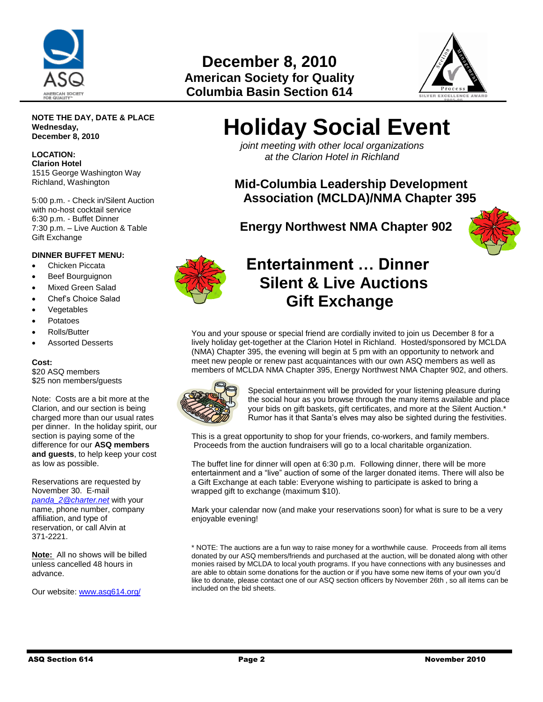

## **December 8, 2010 American Society for Quality Columbia Basin Section 614**



#### **NOTE THE DAY, DATE & PLACE Wednesday, December 8, 2010**

**LOCATION: Clarion Hotel** 1515 George Washington Way Richland, Washington

5:00 p.m. - Check in/Silent Auction with no-host cocktail service 6:30 p.m. - Buffet Dinner 7:30 p.m. – Live Auction & Table Gift Exchange

#### **DINNER BUFFET MENU:**

- Chicken Piccata
- Beef Bourguignon
- Mixed Green Salad
- Chef's Choice Salad
- **Vegetables**
- Potatoes
- Rolls/Butter
- Assorted Desserts

#### **Cost:**

\$20 ASQ members \$25 non members/guests

Note: Costs are a bit more at the Clarion, and our section is being charged more than our usual rates per dinner. In the holiday spirit, our section is paying some of the difference for our **ASQ members and guests**, to help keep your cost as low as possible.

Reservations are requested by November 30. E-mail *[panda\\_2@charter.net](mailto:panda_2@charter.net)* with your name, phone number, company affiliation, and type of reservation, or call Alvin at 371-2221.

**Note:** All no shows will be billed unless cancelled 48 hours in advance.

Our website: [www.asq614.org/](http://www.asq614.org/)

# **Holiday Social Event**

 *joint meeting with other local organizations at the Clarion Hotel in Richland*

**Mid-Columbia Leadership Development Association (MCLDA)/NMA Chapter 395**

 **Energy Northwest NMA Chapter 902**





# **Entertainment … Dinner Silent & Live Auctions Gift Exchange**

You and your spouse or special friend are cordially invited to join us December 8 for a lively holiday get-together at the Clarion Hotel in Richland. Hosted/sponsored by MCLDA (NMA) Chapter 395, the evening will begin at 5 pm with an opportunity to network and meet new people or renew past acquaintances with our own ASQ members as well as members of MCLDA NMA Chapter 395, Energy Northwest NMA Chapter 902, and others.



Special entertainment will be provided for your listening pleasure during the social hour as you browse through the many items available and place your bids on gift baskets, gift certificates, and more at the Silent Auction.\* Rumor has it that Santa's elves may also be sighted during the festivities.

This is a great opportunity to shop for your friends, co-workers, and family members. Proceeds from the auction fundraisers will go to a local charitable organization.

The buffet line for dinner will open at 6:30 p.m. Following dinner, there will be more entertainment and a "live" auction of some of the larger donated items. There will also be a Gift Exchange at each table: Everyone wishing to participate is asked to bring a wrapped gift to exchange (maximum \$10).

Mark your calendar now (and make your reservations soon) for what is sure to be a very enjoyable evening!

\* NOTE: The auctions are a fun way to raise money for a worthwhile cause. Proceeds from all items donated by our ASQ members/friends and purchased at the auction, will be donated along with other monies raised by MCLDA to local youth programs. If you have connections with any businesses and are able to obtain some donations for the auction or if you have some new items of your own you'd like to donate, please contact one of our ASQ section officers by November 26th , so all items can be included on the bid sheets.